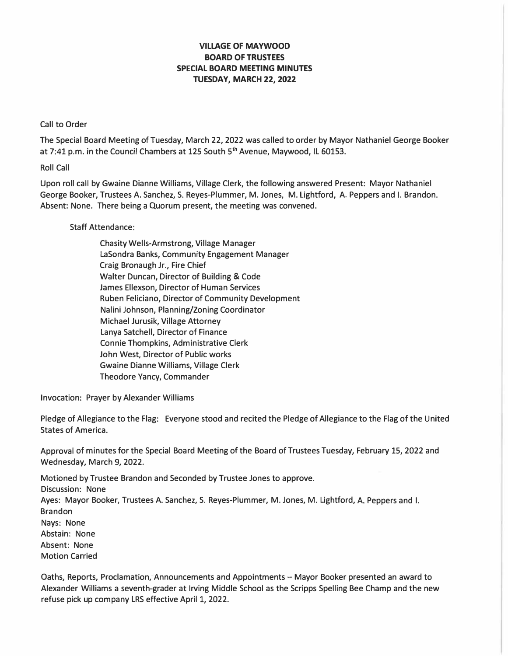## **VILLAGE OF MAYWOOD BOARD OF TRUSTEES SPECIAL BOARD MEETING MINUTES TUESDAY, MARCH 22, 2022**

## Call to Order

The Special Board Meeting of Tuesday, March 22, 2022 was called to order by Mayor Nathaniel George Booker at 7:41 p.m. in the Council Chambers at 125 South 5 **th** Avenue, Maywood, IL 60153.

Roll Call

Upon roll call by Gwaine Dianne Williams, Village Clerk, the following answered Present: Mayor Nathaniel George Booker, Trustees A. Sanchez, S. Reyes-Plummer, M. Jones, M. Lightford, A. Peppers and I. Brandon. Absent: None. There being a Quorum present, the meeting was convened.

## Staff Attendance:

Chasity Wells-Armstrong, Village Manager LaSondra Banks, Community Engagement Manager Craig Bronaugh Jr., Fire Chief Walter Duncan, Director of Building & Code James Ellexson, Director of Human Services Ruben Feliciano, Director of Community Development Nalini Johnson, Planning/Zoning Coordinator Michael Jurusik, Village Attorney Lanya Satchell, Director of Finance Connie Thompkins, Administrative Clerk John West, Director of Public works Gwaine Dianne Williams, Village Clerk Theodore Yancy, Commander

Invocation: Prayer by Alexander Williams

Pledge of Allegiance to the Flag: Everyone stood and recited the Pledge of Allegiance to the Flag of the United States of America.

Approval of minutes for the Special Board Meeting of the Board of Trustees Tuesday, February 15, 2022 and Wednesday, March 9, 2022.

Motioned by Trustee Brandon and Seconded by Trustee Jones to approve. Discussion: None Ayes: Mayor Booker, Trustees A. Sanchez, S. Reyes-Plummer, M. Jones, M. Lightford, A. Peppers and I. Brandon Nays: None Abstain: None Absent: None Motion Carried

Oaths, Reports, Proclamation, Announcements and Appointments - Mayor Booker presented an award to Alexander Williams a seventh-grader at Irving Middle School as the Scripps Spelling Bee Champ and the new refuse pick up company LRS effective April 1, 2022.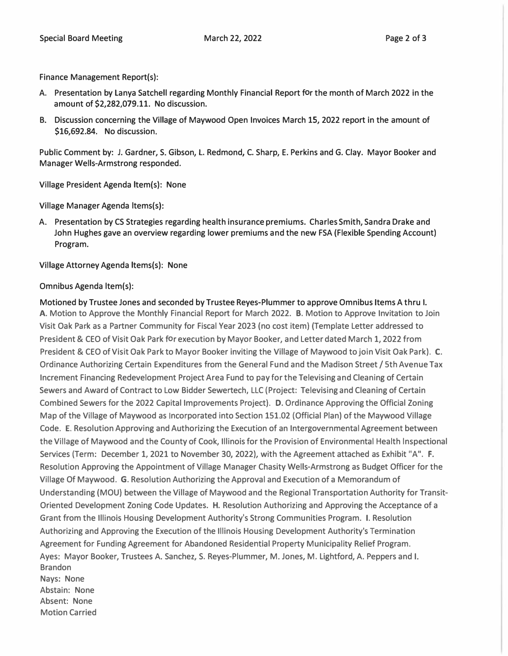**Finance Management Report(s):** 

- **A. Presentation by Lanya Satchell regarding Monthly Financial Report for the month of March 2022 in the amount of \$2,282,079.11. No discussion.**
- **B. Discussion concerning the Village of Maywood Open Invoices March 15, 2022 report in the amount of \$16,692.84. No discussion.**

**Public Comment by: J. Gardner, S. Gibson, L. Redmond, C. Sharp, E. Perkins and G. Clay. Mayor Booker and Manager Wells-Armstrong responded.** 

**Village President Agenda ltem(s): None** 

**Village Manager Agenda ltems(s):** 

**A. Presentation by CS Strategies regarding health insurance premiums. Charles Smith, Sandra Drake and John Hughes gave an overview regarding lower premiums and the new FSA (Flexible Spending Account) Program.** 

**Village Attorney Agenda ltems(s): None** 

## **Omnibus Agenda ltem(s):**

**Motioned by Trustee Jones and seconded by Trustee Reyes-Plummer to approve Omnibus Items A thru I. A. Motion to Approve the Monthly Financial Report for March 2022. B. Motion to Approve Invitation to Join Visit Oak Park as a Partner Community for Fiscal Year 2023 (no cost item} (Template Letter addressed to President & CEO of Visit Oak Park for execution by Mayor Booker, and Letter dated March 1, 2022 from President & CEO of Visit Oak Park to Mayor Booker inviting the Village of Maywood to join Visit Oak Park). C. Ordinance Authorizing Certain Expenditures from the General Fund and the Madison Street/ 5th Avenue Tax Increment Financing Redevelopment Project Area Fund to pay for the Televising and Cleaning of Certain Sewers and Award of Contract to Low Bidder Sewertech, LLC (Project: Televising and Cleaning of Certain Combined Sewers for the 2022 Capital Improvements Project}. D. Ordinance Approving the Official Zoning Map of the Village of Maywood as Incorporated into Section 151.02 (Official Plan) of the Maywood Village Code. E. Resolution Approving and Authorizing the Execution of an Intergovernmental Agreement between the Village of Maywood and the County of Cook, Illinois for the Provision of Environmental Health lnspectional Services (Term: December 1, 2021 to November 30, 2022), with the Agreement attached as Exhibit "A". F. Resolution Approving the Appointment of Village Manager Chasity Wells-Armstrong as Budget Officer for the Village Of Maywood. G. Resolution Authorizing the Approval and Execution of a Memorandum of Understanding (MOU} between the Village of Maywood and the Regional Transportation Authority for Transit-Oriented Development Zoning Code Updates. H. Resolution Authorizing and Approving the Acceptance of a Grant from the Illinois Housing Development Authority's Strong Communities Program. I. Resolution Authorizing and Approving the Execution of the Illinois Housing Development Authority's Termination Agreement for Funding Agreement for Abandoned Residential Property Municipality Relief Program. Ayes: Mayor Booker, Trustees A. Sanchez, S. Reyes-Plummer, M. Jones, M. Lightford, A. Peppers and I. Brandon Nays: None Abstain: None Absent: None Motion Carried**